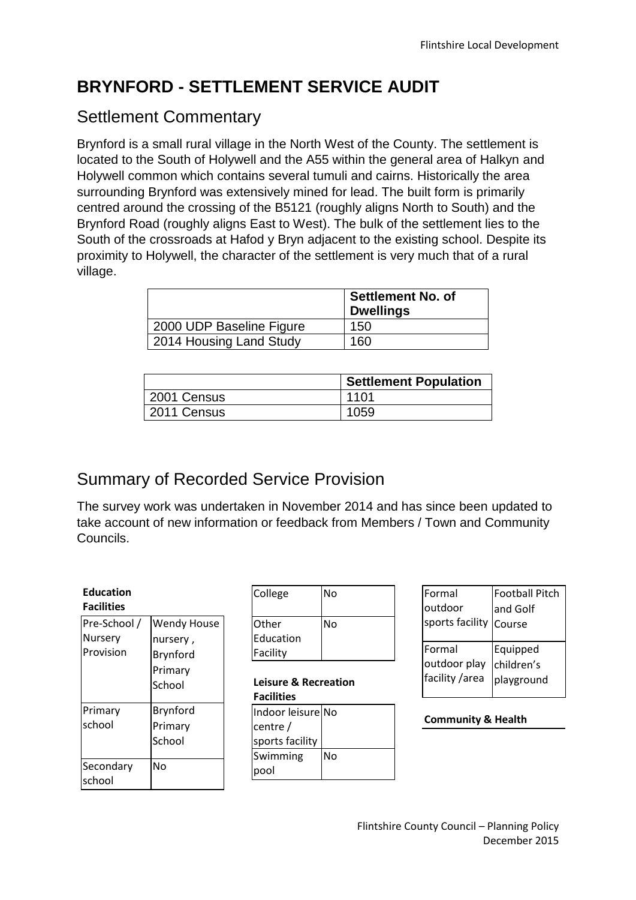# **BRYNFORD - SETTLEMENT SERVICE AUDIT**

### Settlement Commentary

Brynford is a small rural village in the North West of the County. The settlement is located to the South of Holywell and the A55 within the general area of Halkyn and Holywell common which contains several tumuli and cairns. Historically the area surrounding Brynford was extensively mined for lead. The built form is primarily centred around the crossing of the B5121 (roughly aligns North to South) and the Brynford Road (roughly aligns East to West). The bulk of the settlement lies to the South of the crossroads at Hafod y Bryn adjacent to the existing school. Despite its proximity to Holywell, the character of the settlement is very much that of a rural village.

|                          | <b>Settlement No. of</b><br><b>Dwellings</b> |
|--------------------------|----------------------------------------------|
| 2000 UDP Baseline Figure | 150                                          |
| 2014 Housing Land Study  | 160                                          |

|             | <b>Settlement Population</b> |
|-------------|------------------------------|
| 2001 Census | 1101                         |
| 2011 Census | 1059                         |

# Summary of Recorded Service Provision

The survey work was undertaken in November 2014 and has since been updated to take account of new information or feedback from Members / Town and Community Councils.

| <b>Education</b><br><b>Facilities</b> |                                            |                   | College                                                        | No        | Formal<br>loutdoor               | Football Pitch<br>land Golf |
|---------------------------------------|--------------------------------------------|-------------------|----------------------------------------------------------------|-----------|----------------------------------|-----------------------------|
| Pre-School /<br>Nursery<br>Provision  | <b>Wendy House</b><br>nursery,<br>Brynford | Other<br>Facility | Education                                                      | <b>No</b> | sports facility Course<br>Formal | Equipped                    |
|                                       | Primary<br>School                          |                   | <b>Leisure &amp; Recreation</b><br><b>Facilities</b>           |           | outdoor play<br>facility /area   | children's<br>playground    |
| Primary<br>school                     | Brynford<br>Primary<br>School              |                   | Indoor leisure No<br>centre $/$<br>sports facility<br>Swimming | <b>No</b> | <b>Community &amp; Health</b>    |                             |
| Secondary<br>school                   | <b>No</b>                                  | pool              |                                                                |           |                                  |                             |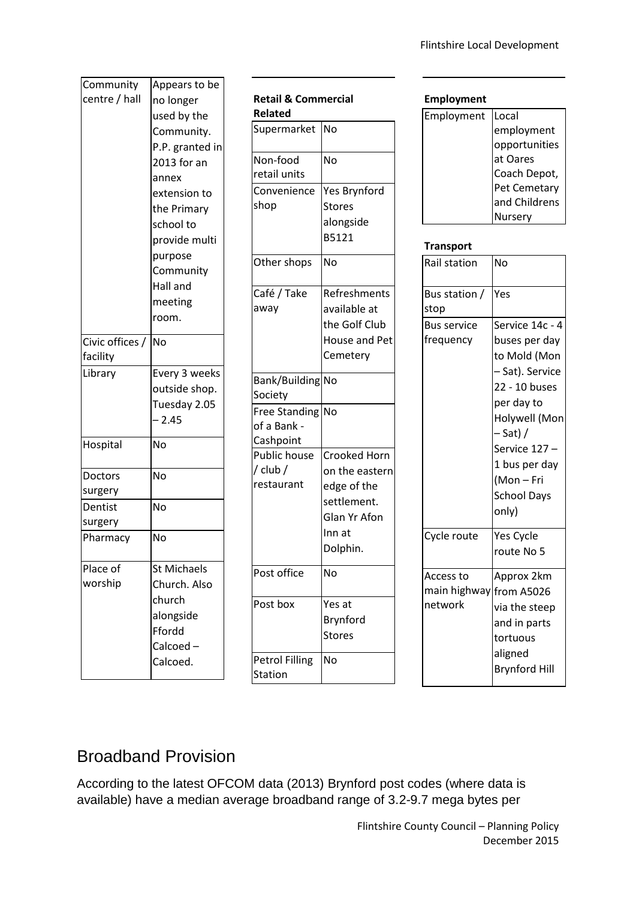| Community       | Appears to be      |
|-----------------|--------------------|
| centre / hall   | no longer          |
|                 | used by the        |
|                 |                    |
|                 | Community.         |
|                 | P.P. granted in    |
|                 | 2013 for an        |
|                 | annex              |
|                 | extension to       |
|                 | the Primary        |
|                 | school to          |
|                 | provide multi      |
|                 | purpose            |
|                 | Community          |
|                 | Hall and           |
|                 | meeting            |
|                 | room.              |
|                 |                    |
| Civic offices / | <b>No</b>          |
| facility        |                    |
| Library         | Every 3 weeks      |
|                 | outside shop.      |
|                 | Tuesday 2.05       |
|                 | $-2.45$            |
| Hospital        | No                 |
|                 |                    |
| Doctors         | No                 |
| surgery         |                    |
| Dentist         | No                 |
| surgery         |                    |
| Pharmacy        | No                 |
|                 |                    |
| Place of        | <b>St Michaels</b> |
| worship         | Church. Also       |
|                 | church             |
|                 | alongside          |
|                 | Ffordd             |
|                 | Calcoed-           |
|                 | Calcoed.           |
|                 |                    |

| <b>Retail &amp; Commercial</b><br><b>Related</b> |                                                                                                           |
|--------------------------------------------------|-----------------------------------------------------------------------------------------------------------|
| Supermarket                                      | No                                                                                                        |
| Non-food<br>retail units                         | NΩ                                                                                                        |
| Convenience<br>shop                              | <b>Yes Brynford</b><br><b>Stores</b><br>alongside<br>B5121                                                |
| Other shops                                      | No                                                                                                        |
| Café / Take<br>away                              | Refreshments<br>available at<br>the Golf Club<br><b>House and Pet</b><br>Cemetery                         |
| Bank/Building<br>Society                         | No                                                                                                        |
| <b>Free Standing</b><br>of a Bank -<br>Cashpoint | No                                                                                                        |
| <b>Public house</b><br>/ club /<br>restaurant    | <b>Crooked Horn</b><br>on the eastern<br>edge of the<br>settlement.<br>Glan Yr Afon<br>Inn at<br>Dolphin. |
| Post office                                      | No                                                                                                        |
| Post box                                         | Yes at<br>Brynford<br><b>Stores</b>                                                                       |
| <b>Petrol Filling</b><br>Station                 | No                                                                                                        |

#### **Employment**

| Local         |
|---------------|
| employment    |
| opportunities |
| at Oares      |
| Coach Depot,  |
| Pet Cemetary  |
| and Childrens |
| ursery        |
|               |

#### **Transport**

| Rail station                                    | No                                                                                                                                                                                                          |
|-------------------------------------------------|-------------------------------------------------------------------------------------------------------------------------------------------------------------------------------------------------------------|
| Bus station /<br>stop                           | Yes                                                                                                                                                                                                         |
| <b>Bus service</b><br>frequency                 | Service 14c - 4<br>buses per day<br>to Mold (Mon<br>– Sat). Service<br>22 - 10 buses<br>per day to<br>Holywell (Mon<br>– Sat) /<br>Service 127-<br>1 bus per day<br>(Mon-Fri<br><b>School Days</b><br>only) |
| Cycle route                                     | Yes Cycle<br>route No 5                                                                                                                                                                                     |
| Access to<br>main highway from A5026<br>network | Approx 2km<br>via the steep<br>and in parts<br>tortuous<br>aligned<br><b>Brynford Hill</b>                                                                                                                  |

# Broadband Provision

According to the latest OFCOM data (2013) Brynford post codes (where data is available) have a median average broadband range of 3.2-9.7 mega bytes per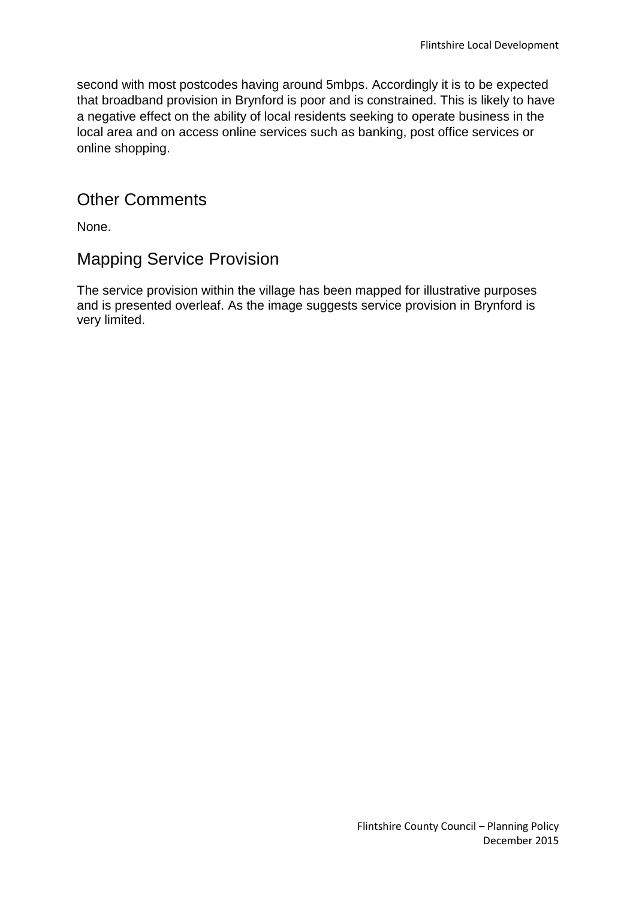second with most postcodes having around 5mbps. Accordingly it is to be expected that broadband provision in Brynford is poor and is constrained. This is likely to have a negative effect on the ability of local residents seeking to operate business in the local area and on access online services such as banking, post office services or online shopping.

### Other Comments

None.

### Mapping Service Provision

The service provision within the village has been mapped for illustrative purposes and is presented overleaf. As the image suggests service provision in Brynford is very limited.